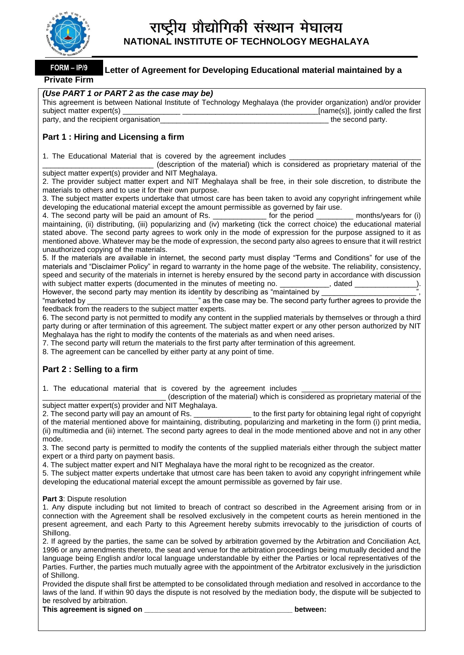

#### **Letter of Agreement for Developing Educational material maintained by a Private Firm FORM – IP/9**

#### *(Use PART 1 or PART 2 as the case may be)*

| This agreement is between National Institute of Technology Meghalaya (the provider organization) and/or provider |                                     |
|------------------------------------------------------------------------------------------------------------------|-------------------------------------|
| subject matter expert(s)                                                                                         | [name(s)], jointly called the first |
| party, and the recipient organisation                                                                            | the second party.                   |

# **Part 1 : Hiring and Licensing a firm**

1. The Educational Material that is covered by the agreement includes

\_\_\_\_\_\_\_\_\_\_\_\_\_\_\_\_\_\_\_\_\_\_\_\_\_\_\_ (description of the material) which is considered as proprietary material of the subject matter expert(s) provider and NIT Meghalaya.

2. The provider subject matter expert and NIT Meghalaya shall be free, in their sole discretion, to distribute the materials to others and to use it for their own purpose.

3. The subject matter experts undertake that utmost care has been taken to avoid any copyright infringement while developing the educational material except the amount permissible as governed by fair use.

4. The second party will be paid an amount of Rs. \_\_\_\_\_\_\_\_\_\_\_\_\_ for the period \_\_\_\_\_\_\_\_\_ months/years for (i) maintaining, (ii) distributing, (iii) popularizing and (iv) marketing (tick the correct choice) the educational material stated above. The second party agrees to work only in the mode of expression for the purpose assigned to it as mentioned above. Whatever may be the mode of expression, the second party also agrees to ensure that it will restrict unauthorized copying of the materials.

5. If the materials are available in internet, the second party must display "Terms and Conditions" for use of the materials and "Disclaimer Policy" in regard to warranty in the home page of the website. The reliability, consistency, speed and security of the materials in internet is hereby ensured by the second party in accordance with discussion with subject matter experts (documented in the minutes of meeting no.  $\qquad \qquad$ , dated However, the second party may mention its identity by describing as "maintained by

"marketed by \_\_\_\_\_\_\_\_\_\_\_\_\_\_\_\_\_\_\_\_\_\_\_\_\_\_\_\_\_\_\_\_\_\_" as the case may be. The second party further agrees to provide the feedback from the readers to the subject matter experts.

6. The second party is not permitted to modify any content in the supplied materials by themselves or through a third party during or after termination of this agreement. The subject matter expert or any other person authorized by NIT Meghalaya has the right to modify the contents of the materials as and when need arises.

7. The second party will return the materials to the first party after termination of this agreement.

8. The agreement can be cancelled by either party at any point of time.

# **Part 2 : Selling to a firm**

1. The educational material that is covered by the agreement includes

(description of the material) which is considered as proprietary material of the subject matter expert(s) provider and NIT Meghalaya.

2. The second party will pay an amount of Rs.  $\qquad \qquad$  to the first party for obtaining legal right of copyright of the material mentioned above for maintaining, distributing, popularizing and marketing in the form (i) print media, (ii) multimedia and (iii) internet. The second party agrees to deal in the mode mentioned above and not in any other mode.

3. The second party is permitted to modify the contents of the supplied materials either through the subject matter expert or a third party on payment basis.

4. The subject matter expert and NIT Meghalaya have the moral right to be recognized as the creator.

5. The subject matter experts undertake that utmost care has been taken to avoid any copyright infringement while developing the educational material except the amount permissible as governed by fair use.

**Part 3**: Dispute resolution

1. Any dispute including but not limited to breach of contract so described in the Agreement arising from or in connection with the Agreement shall be resolved exclusively in the competent courts as herein mentioned in the present agreement, and each Party to this Agreement hereby submits irrevocably to the jurisdiction of courts of Shillong.

2. If agreed by the parties, the same can be solved by arbitration governed by the Arbitration and Conciliation Act, 1996 or any amendments thereto, the seat and venue for the arbitration proceedings being mutually decided and the language being English and/or local language understandable by either the Parties or local representatives of the Parties. Further, the parties much mutually agree with the appointment of the Arbitrator exclusively in the jurisdiction of Shillong.

Provided the dispute shall first be attempted to be consolidated through mediation and resolved in accordance to the laws of the land. If within 90 days the dispute is not resolved by the mediation body, the dispute will be subjected to be resolved by arbitration.

This agreement is signed on **the set of the set of the set of the set of the set of the set of the set of the set of the set of the set of the set of the set of the set of the set of the set of the set of the set of the se**